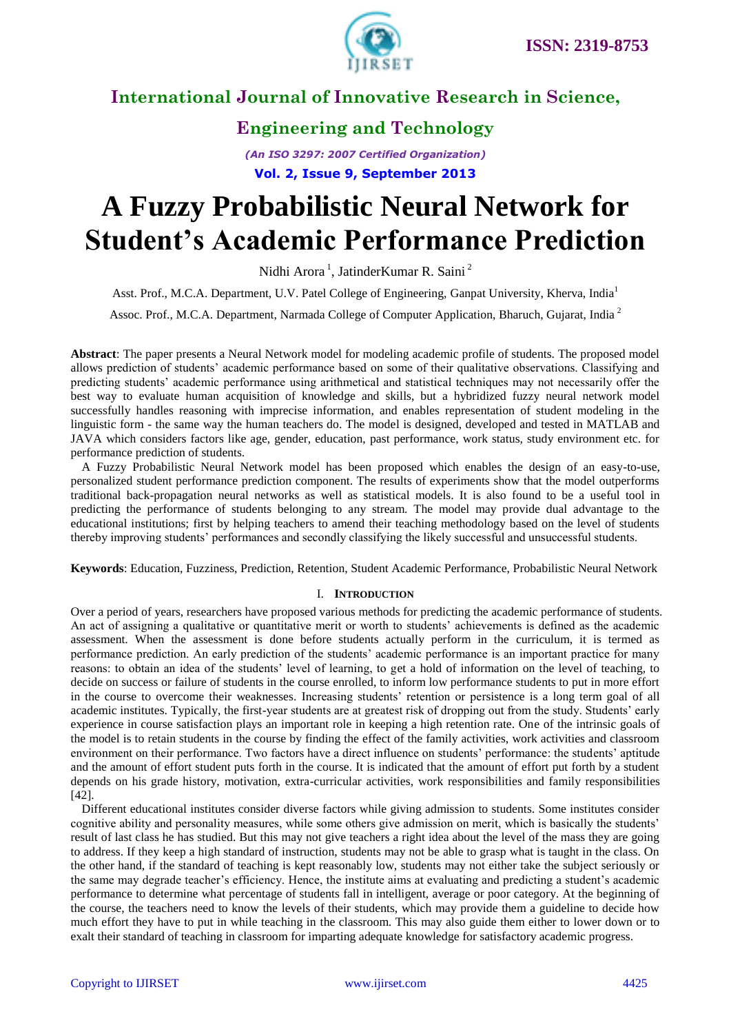

### **Engineering and Technology**

*(An ISO 3297: 2007 Certified Organization)* **Vol. 2, Issue 9, September 2013**

# **A Fuzzy Probabilistic Neural Network for Student's Academic Performance Prediction**

Nidhi Arora<sup>1</sup>, JatinderKumar R. Saini<sup>2</sup>

Asst. Prof., M.C.A. Department, U.V. Patel College of Engineering, Ganpat University, Kherva, India<sup>1</sup>

Assoc. Prof., M.C.A. Department, Narmada College of Computer Application, Bharuch, Gujarat, India<sup>2</sup>

**Abstract**: The paper presents a Neural Network model for modeling academic profile of students. The proposed model allows prediction of students' academic performance based on some of their qualitative observations. Classifying and predicting students' academic performance using arithmetical and statistical techniques may not necessarily offer the best way to evaluate human acquisition of knowledge and skills, but a hybridized fuzzy neural network model successfully handles reasoning with imprecise information, and enables representation of student modeling in the linguistic form - the same way the human teachers do. The model is designed, developed and tested in MATLAB and JAVA which considers factors like age, gender, education, past performance, work status, study environment etc. for performance prediction of students.

A Fuzzy Probabilistic Neural Network model has been proposed which enables the design of an easy-to-use, personalized student performance prediction component. The results of experiments show that the model outperforms traditional back-propagation neural networks as well as statistical models. It is also found to be a useful tool in predicting the performance of students belonging to any stream. The model may provide dual advantage to the educational institutions; first by helping teachers to amend their teaching methodology based on the level of students thereby improving students' performances and secondly classifying the likely successful and unsuccessful students.

**Keywords**: Education, Fuzziness, Prediction, Retention, Student Academic Performance, Probabilistic Neural Network

#### I. **INTRODUCTION**

Over a period of years, researchers have proposed various methods for predicting the academic performance of students. An act of assigning a qualitative or quantitative merit or worth to students' achievements is defined as the academic assessment. When the assessment is done before students actually perform in the curriculum, it is termed as performance prediction. An early prediction of the students' academic performance is an important practice for many reasons: to obtain an idea of the students' level of learning, to get a hold of information on the level of teaching, to decide on success or failure of students in the course enrolled, to inform low performance students to put in more effort in the course to overcome their weaknesses. Increasing students' retention or persistence is a long term goal of all academic institutes. Typically, the first-year students are at greatest risk of dropping out from the study. Students' early experience in course satisfaction plays an important role in keeping a high retention rate. One of the intrinsic goals of the model is to retain students in the course by finding the effect of the family activities, work activities and classroom environment on their performance. Two factors have a direct influence on students' performance: the students' aptitude and the amount of effort student puts forth in the course. It is indicated that the amount of effort put forth by a student depends on his grade history, motivation, extra-curricular activities, work responsibilities and family responsibilities [42].

Different educational institutes consider diverse factors while giving admission to students. Some institutes consider cognitive ability and personality measures, while some others give admission on merit, which is basically the students' result of last class he has studied. But this may not give teachers a right idea about the level of the mass they are going to address. If they keep a high standard of instruction, students may not be able to grasp what is taught in the class. On the other hand, if the standard of teaching is kept reasonably low, students may not either take the subject seriously or the same may degrade teacher's efficiency. Hence, the institute aims at evaluating and predicting a student's academic performance to determine what percentage of students fall in intelligent, average or poor category. At the beginning of the course, the teachers need to know the levels of their students, which may provide them a guideline to decide how much effort they have to put in while teaching in the classroom. This may also guide them either to lower down or to exalt their standard of teaching in classroom for imparting adequate knowledge for satisfactory academic progress.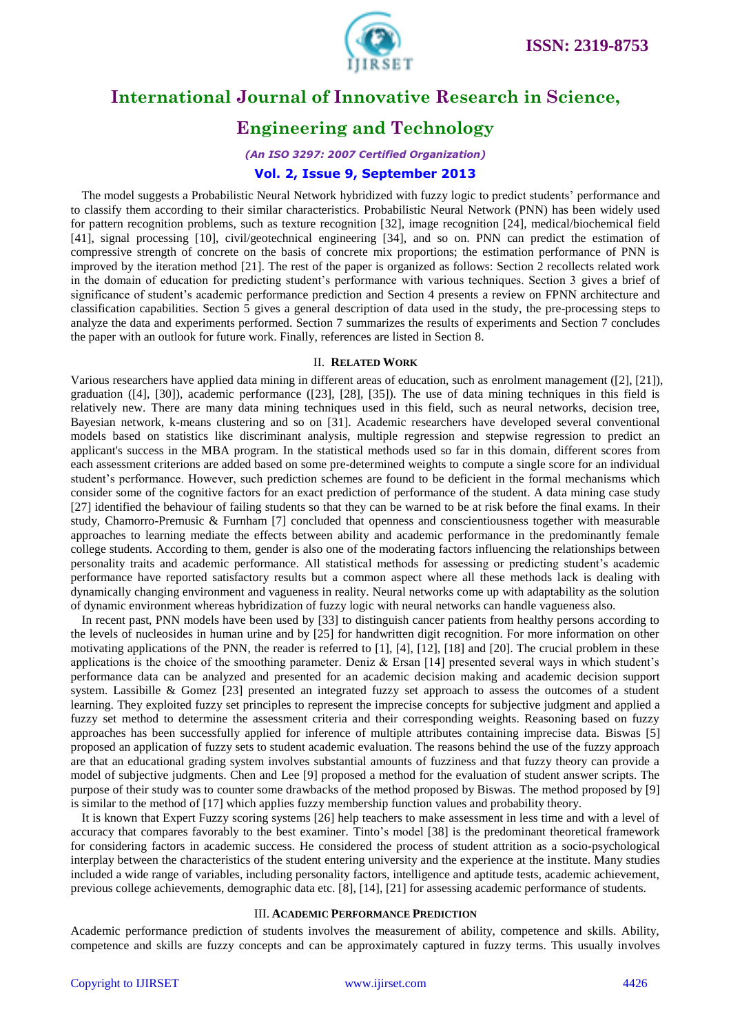

### **Engineering and Technology**

### *(An ISO 3297: 2007 Certified Organization)*

#### **Vol. 2, Issue 9, September 2013**

The model suggests a Probabilistic Neural Network hybridized with fuzzy logic to predict students' performance and to classify them according to their similar characteristics. Probabilistic Neural Network (PNN) has been widely used for pattern recognition problems, such as texture recognition [32], image recognition [24], medical/biochemical field [41], signal processing [10], civil/geotechnical engineering [34], and so on. PNN can predict the estimation of compressive strength of concrete on the basis of concrete mix proportions; the estimation performance of PNN is improved by the iteration method [21]. The rest of the paper is organized as follows: Section 2 recollects related work in the domain of education for predicting student's performance with various techniques. Section 3 gives a brief of significance of student's academic performance prediction and Section 4 presents a review on FPNN architecture and classification capabilities. Section 5 gives a general description of data used in the study, the pre-processing steps to analyze the data and experiments performed. Section 7 summarizes the results of experiments and Section 7 concludes the paper with an outlook for future work. Finally, references are listed in Section 8.

#### II. **RELATED WORK**

Various researchers have applied data mining in different areas of education, such as enrolment management ([2], [21]), graduation ([4], [30]), academic performance ([23], [28], [35]). The use of data mining techniques in this field is relatively new. There are many data mining techniques used in this field, such as neural networks, decision tree, Bayesian network, k-means clustering and so on [31]. Academic researchers have developed several conventional models based on statistics like discriminant analysis, multiple regression and stepwise regression to predict an applicant's success in the MBA program. In the statistical methods used so far in this domain, different scores from each assessment criterions are added based on some pre-determined weights to compute a single score for an individual student's performance. However, such prediction schemes are found to be deficient in the formal mechanisms which consider some of the cognitive factors for an exact prediction of performance of the student. A data mining case study [27] identified the behaviour of failing students so that they can be warned to be at risk before the final exams. In their study, Chamorro-Premusic & Furnham [7] concluded that openness and conscientiousness together with measurable approaches to learning mediate the effects between ability and academic performance in the predominantly female college students. According to them, gender is also one of the moderating factors influencing the relationships between personality traits and academic performance. All statistical methods for assessing or predicting student's academic performance have reported satisfactory results but a common aspect where all these methods lack is dealing with dynamically changing environment and vagueness in reality. Neural networks come up with adaptability as the solution of dynamic environment whereas hybridization of fuzzy logic with neural networks can handle vagueness also.

In recent past, PNN models have been used by [33] to distinguish cancer patients from healthy persons according to the levels of nucleosides in human urine and by [25] for handwritten digit recognition. For more information on other motivating applications of the PNN, the reader is referred to [1], [4], [12], [18] and [20]. The crucial problem in these applications is the choice of the smoothing parameter. Deniz  $\&$  Ersan [14] presented several ways in which student's performance data can be analyzed and presented for an academic decision making and academic decision support system. Lassibille & Gomez [23] presented an integrated fuzzy set approach to assess the outcomes of a student learning. They exploited fuzzy set principles to represent the imprecise concepts for subjective judgment and applied a fuzzy set method to determine the assessment criteria and their corresponding weights. Reasoning based on fuzzy approaches has been successfully applied for inference of multiple attributes containing imprecise data. Biswas [5] proposed an application of fuzzy sets to student academic evaluation. The reasons behind the use of the fuzzy approach are that an educational grading system involves substantial amounts of fuzziness and that fuzzy theory can provide a model of subjective judgments. Chen and Lee [9] proposed a method for the evaluation of student answer scripts. The purpose of their study was to counter some drawbacks of the method proposed by Biswas. The method proposed by [9] is similar to the method of [17] which applies fuzzy membership function values and probability theory.

It is known that Expert Fuzzy scoring systems [26] help teachers to make assessment in less time and with a level of accuracy that compares favorably to the best examiner. Tinto's model [38] is the predominant theoretical framework for considering factors in academic success. He considered the process of student attrition as a socio-psychological interplay between the characteristics of the student entering university and the experience at the institute. Many studies included a wide range of variables, including personality factors, intelligence and aptitude tests, academic achievement, previous college achievements, demographic data etc. [8], [14], [21] for assessing academic performance of students.

#### III. **ACADEMIC PERFORMANCE PREDICTION**

Academic performance prediction of students involves the measurement of ability, competence and skills. Ability, competence and skills are fuzzy concepts and can be approximately captured in fuzzy terms. This usually involves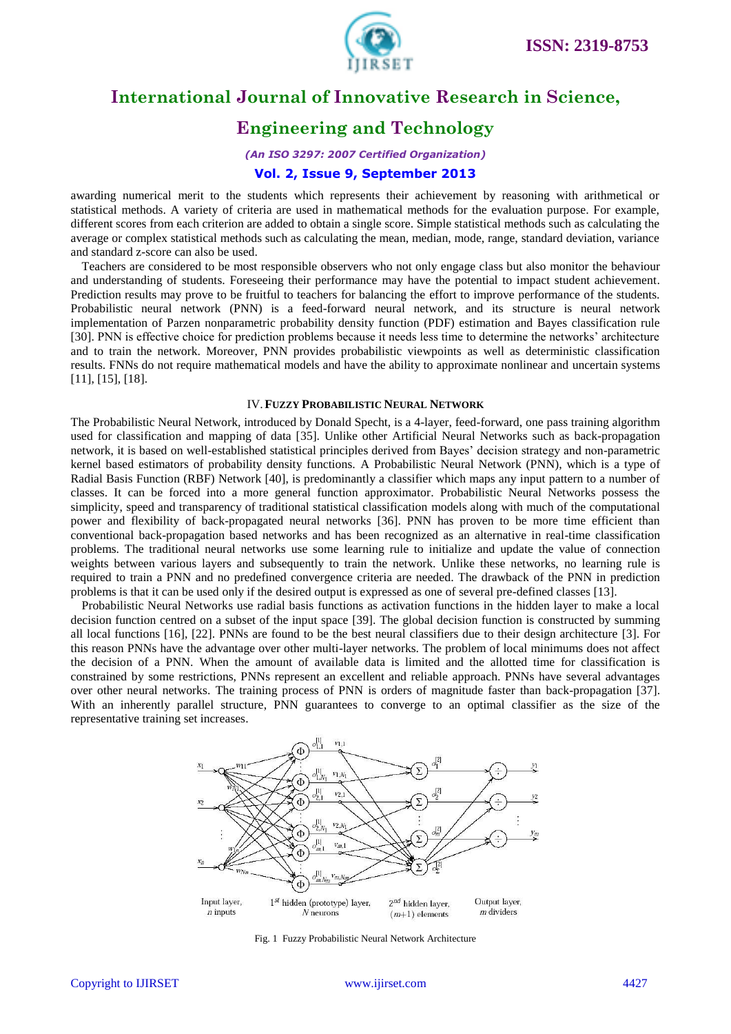

### **Engineering and Technology**

### *(An ISO 3297: 2007 Certified Organization)*

### **Vol. 2, Issue 9, September 2013**

awarding numerical merit to the students which represents their achievement by reasoning with arithmetical or statistical methods. A variety of criteria are used in mathematical methods for the evaluation purpose. For example, different scores from each criterion are added to obtain a single score. Simple statistical methods such as calculating the average or complex statistical methods such as calculating the mean, median, mode, range, standard deviation, variance and standard z-score can also be used.

Teachers are considered to be most responsible observers who not only engage class but also monitor the behaviour and understanding of students. Foreseeing their performance may have the potential to impact student achievement. Prediction results may prove to be fruitful to teachers for balancing the effort to improve performance of the students. Probabilistic neural network (PNN) is a feed-forward neural network, and its structure is neural network implementation of Parzen nonparametric probability density function (PDF) estimation and Bayes classification rule [30]. PNN is effective choice for prediction problems because it needs less time to determine the networks' architecture and to train the network. Moreover, PNN provides probabilistic viewpoints as well as deterministic classification results. FNNs do not require mathematical models and have the ability to approximate nonlinear and uncertain systems [11], [15], [18].

#### IV.**FUZZY PROBABILISTIC NEURAL NETWORK**

The Probabilistic Neural Network, introduced by Donald Specht, is a 4-layer, feed-forward, one pass training algorithm used for classification and mapping of data [35]. Unlike other Artificial Neural Networks such as back-propagation network, it is based on well-established statistical principles derived from Bayes' decision strategy and non-parametric kernel based estimators of probability density functions. A Probabilistic Neural Network (PNN), which is a type of Radial Basis Function (RBF) Network [40], is predominantly a classifier which maps any input pattern to a number of classes. It can be forced into a more general function approximator. Probabilistic Neural Networks possess the simplicity, speed and transparency of traditional statistical classification models along with much of the computational power and flexibility of back-propagated neural networks [36]. PNN has proven to be more time efficient than conventional back-propagation based networks and has been recognized as an alternative in real-time classification problems. The traditional neural networks use some learning rule to initialize and update the value of connection weights between various layers and subsequently to train the network. Unlike these networks, no learning rule is required to train a PNN and no predefined convergence criteria are needed. The drawback of the PNN in prediction problems is that it can be used only if the desired output is expressed as one of several pre-defined classes [13].

Probabilistic [Neural Networks](http://scialert.net/asci/result.php?searchin=Keywords&cat=&ascicat=ALL&keyword=Neural+Networks) use radial basis functions as activation functions in the hidden layer to make a local decision function centred on a subset of the input space [39]. The global decision function is constructed by summing all local functions [16], [22]. PNNs are found to be the best neural classifiers due to their design architecture [3]. For this reason PNNs have the advantage over other multi-layer networks. The problem of local minimums does not affect the decision of a PNN. When the amount of available data is limited and the allotted time for classification is constrained by some restrictions, PNNs represent an excellent and reliable approach. PNNs have several advantages over other neural networks. The training process of PNN is orders of magnitude faster than back-propagation [37]. With an inherently parallel structure, PNN guarantees to converge to an optimal classifier as the size of the representative training set increases.



Fig. 1 Fuzzy Probabilistic Neural Network Architecture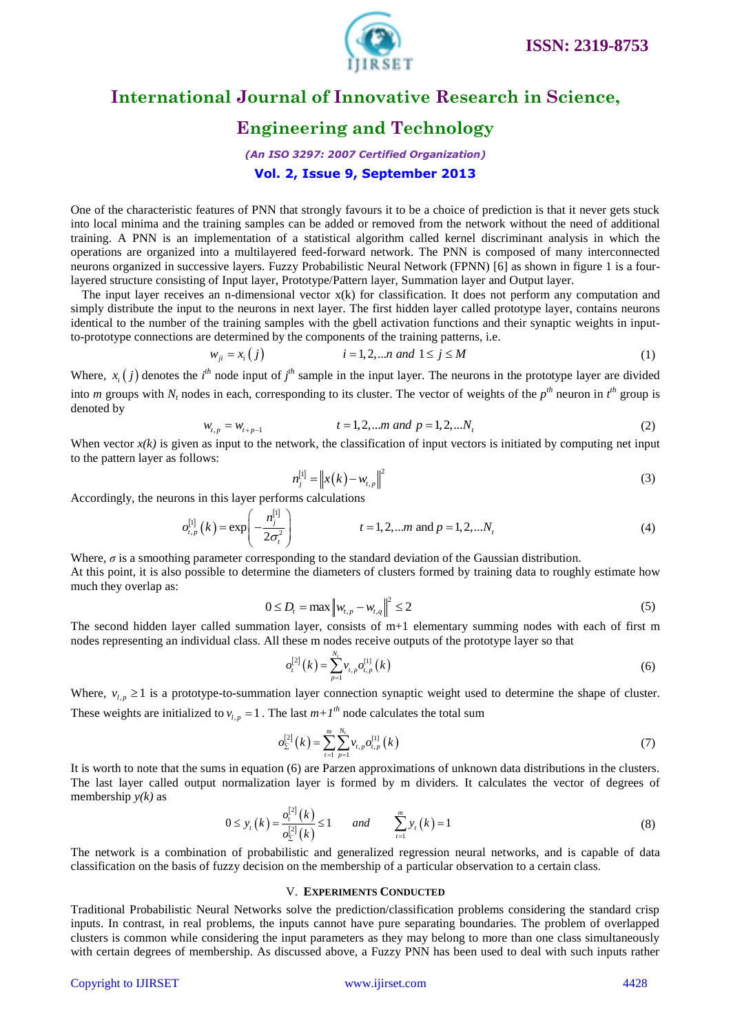

### **Engineering and Technology**

### *(An ISO 3297: 2007 Certified Organization)* **Vol. 2, Issue 9, September 2013**

One of the characteristic features of PNN that strongly favours it to be a choice of prediction is that it never gets stuck into local minima and the training samples can be added or removed from the network without the need of additional training. A PNN is an implementation of a statistical algorithm called kernel discriminant analysis in which the operations are organized into a multilayered feed-forward network. The PNN is composed of many interconnected neurons organized in successive layers. Fuzzy Probabilistic Neural Network (FPNN) [6] as shown in figure 1 is a fourlayered structure consisting of Input layer, Prototype/Pattern layer, Summation layer and Output layer.

The input layer receives an n-dimensional vector x(k) for classification. It does not perform any computation and simply distribute the input to the neurons in next layer. The first hidden layer called prototype layer, contains neurons identical to the number of the training samples with the gbell activation functions and their synaptic weights in inputto-prototype connections are determined by the components of the training patterns, i.e.<br>  $w_{ji} = x_i (j)$   $i = 1, 2, ... n$  *and*  $1 \le j \le M$ 

$$
w_{ji} = x_i(j) \qquad i = 1, 2, \dots n \text{ and } 1 \le j \le M \tag{1}
$$

Where,  $x_i(j)$  denotes the  $i^{\text{th}}$  node input of  $j^{\text{th}}$  sample in the input layer. The neurons in the prototype layer are divided into *m* groups with  $N_t$  nodes in each, corresponding to its cluster. The vector of weights of the  $p^{th}$  neuron in  $t^{th}$  group is denoted by  $w_{t,p} = w_{t+p-1}$   $t = 1,2,...m$  and  $p = 1,2,...N$  $= w_{t+p-1}$   $t = 1, 2, ...m$  and  $p = 1, 2, ...$ 

$$
w_{t,p} = w_{t+p-1} \qquad \qquad t = 1, 2, \dots m \text{ and } p = 1, 2, \dots N_t \qquad (2)
$$

When vector  $x(k)$  is given as input to the network, the classification of input vectors is initiated by computing net input to the pattern layer as follows:

$$
n_j^{[1]} = \|x(k) - w_{i,p}\|^2
$$
\n(3)

Accordingly, the neurons in this layer performs calculations  
\n
$$
o_{t,p}^{[1]}(k) = \exp\left(-\frac{n_j^{[1]}}{2\sigma_t^2}\right) \qquad t = 1, 2, \dots m \text{ and } p = 1, 2, \dots N_t
$$
\n(4)

Where,  $\sigma$  is a smoothing parameter corresponding to the standard deviation of the Gaussian distribution. At this point, it is also possible to determine the diameters of clusters formed by training data to roughly estimate how much they overlap as:

$$
0 \le D_t = \max \|w_{t,p} - w_{t,q}\|^2 \le 2
$$
\n(5)

The second hidden layer called summation layer, consists of m+1 elementary summing nodes with each of first m nodes representing an individual class. All these m nodes receive outputs of the prototype layer so that

$$
o_t^{[2]}(k) = \sum_{p=1}^{N_t} v_{t,p} o_{t,p}^{[1]}(k)
$$
\n(6)

Where,  $v_{l,p} \ge 1$  is a prototype-to-summation layer connection synaptic weight used to determine the shape of cluster. These weights are initialized to  $v_{i,p} = 1$ . The last  $m + I^{th}$  node calculates the total sum

$$
o_{\Sigma}^{[2]}(k) = \sum_{t=1}^{m} \sum_{p=1}^{N_t} v_{t,p} o_{t,p}^{[1]}(k)
$$
 (7)

It is worth to note that the sums in equation (6) are Parzen approximations of unknown data distributions in the clusters. The last layer called output normalization layer is formed by m dividers. It calculates the vector of degrees of membership *y(k)* as

$$
0 \le y_{t}(k) = \frac{o_{t}^{[2]}(k)}{o_{\Sigma}^{[2]}(k)} \le 1 \quad \text{and} \quad \sum_{t=1}^{m} y_{t}(k) = 1 \tag{8}
$$

The network is a combination of probabilistic and generalized regression neural networks, and is capable of data classification on the basis of fuzzy decision on the membership of a particular observation to a certain class.

#### V. **EXPERIMENTS CONDUCTED**

Traditional Probabilistic Neural Networks solve the prediction/classification problems considering the standard crisp inputs. In contrast, in real problems, the inputs cannot have pure separating boundaries. The problem of overlapped clusters is common while considering the input parameters as they may belong to more than one class simultaneously with certain degrees of membership. As discussed above, a Fuzzy PNN has been used to deal with such inputs rather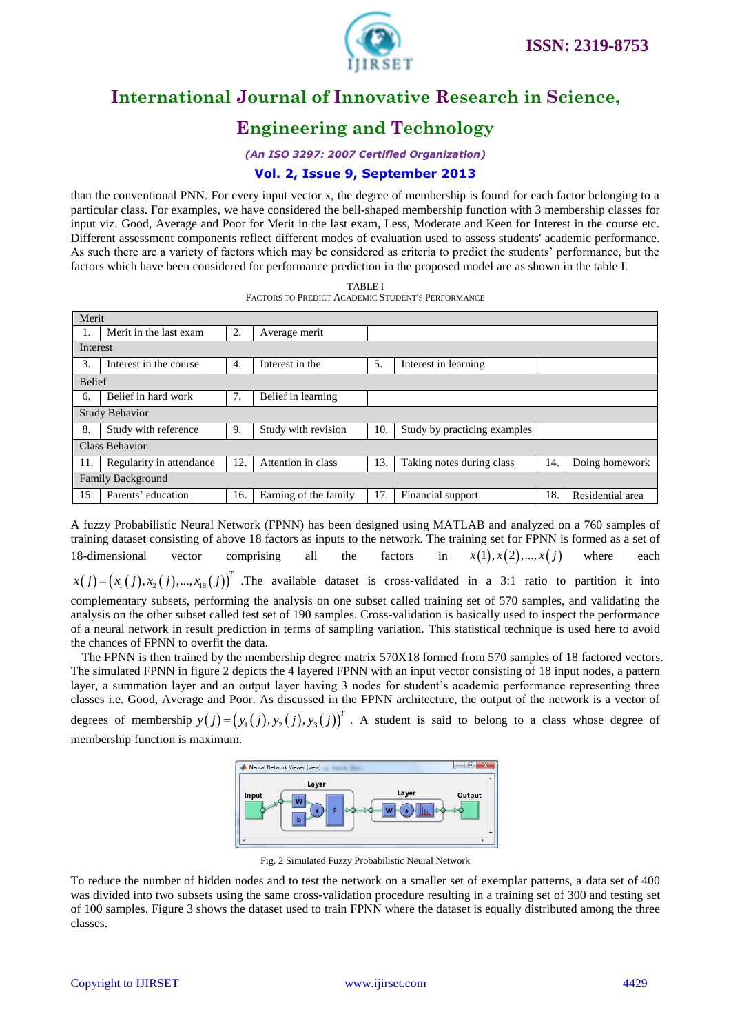

# **Engineering and Technology**

*(An ISO 3297: 2007 Certified Organization)*

### **Vol. 2, Issue 9, September 2013**

than the conventional PNN. For every input vector x, the degree of membership is found for each factor belonging to a particular class. For examples, we have considered the bell-shaped membership function with 3 membership classes for input viz. Good, Average and Poor for Merit in the last exam, Less, Moderate and Keen for Interest in the course etc. Different assessment components reflect different modes of evaluation used to assess students' academic performance. As such there are a variety of factors which may be considered as criteria to predict the students' performance, but the factors which have been considered for performance prediction in the proposed model are as shown in the table I.

TABLE I

|                          | <b>FACTORS TO PREDICT ACADEMIC STUDENT'S PERFORMANCE</b> |     |                       |     |                              |     |                  |
|--------------------------|----------------------------------------------------------|-----|-----------------------|-----|------------------------------|-----|------------------|
| Merit                    |                                                          |     |                       |     |                              |     |                  |
|                          | Merit in the last exam                                   | 2.  | Average merit         |     |                              |     |                  |
| Interest                 |                                                          |     |                       |     |                              |     |                  |
| 3.                       | Interest in the course.                                  | 4.  | Interest in the       | 5.  | Interest in learning         |     |                  |
|                          | <b>Belief</b>                                            |     |                       |     |                              |     |                  |
| 6.                       | Belief in hard work                                      | 7.  | Belief in learning    |     |                              |     |                  |
| <b>Study Behavior</b>    |                                                          |     |                       |     |                              |     |                  |
| 8.                       | Study with reference                                     | 9.  | Study with revision   | 10. | Study by practicing examples |     |                  |
| <b>Class Behavior</b>    |                                                          |     |                       |     |                              |     |                  |
| 11.                      | Regularity in attendance                                 | 12. | Attention in class    | 13. | Taking notes during class    | 14. | Doing homework   |
| <b>Family Background</b> |                                                          |     |                       |     |                              |     |                  |
| 15.                      | Parents' education                                       | 16. | Earning of the family | 17. | Financial support            | 18. | Residential area |

A fuzzy Probabilistic Neural Network (FPNN) has been designed using MATLAB and analyzed on a 760 samples of training dataset consisting of above 18 factors as inputs to the network. The training set for FPNN is formed as a set of 18-dimensional vector comprising all the factors in  $x(1), x(2), \ldots, x(j)$ where each

 $x(j) = (x_1(j), x_2(j), ..., x_{18}(j))^T$  . The available dataset is cross-validated in a 3:1 ratio to partition it into complementary subsets, performing the analysis on one subset called training set of 570 samples, and validating the analysis on the other subset called test set of 190 samples. Cross-validation is basically used to inspect the performance of a neural network in result prediction in terms of sampling variation. This statistical technique is used here to avoid the chances of FPNN to overfit the data.

The FPNN is then trained by the membership degree matrix 570X18 formed from 570 samples of 18 factored vectors. The simulated FPNN in figure 2 depicts the 4 layered FPNN with an input vector consisting of 18 input nodes, a pattern layer, a summation layer and an output layer having 3 nodes for student's academic performance representing three classes i.e. Good, Average and Poor. As discussed in the FPNN architecture, the output of the network is a vector of degrees of membership  $y(j) = (y_1(j), y_2(j), y_3(j))^T$ . A student is said to belong to a class whose degree of

membership function is maximum.



Fig. 2 Simulated Fuzzy Probabilistic Neural Network

To reduce the number of hidden nodes and to test the network on a smaller set of exemplar patterns, a data set of 400 was divided into two subsets using the same cross-validation procedure resulting in a training set of 300 and testing set of 100 samples. Figure 3 shows the dataset used to train FPNN where the dataset is equally distributed among the three classes.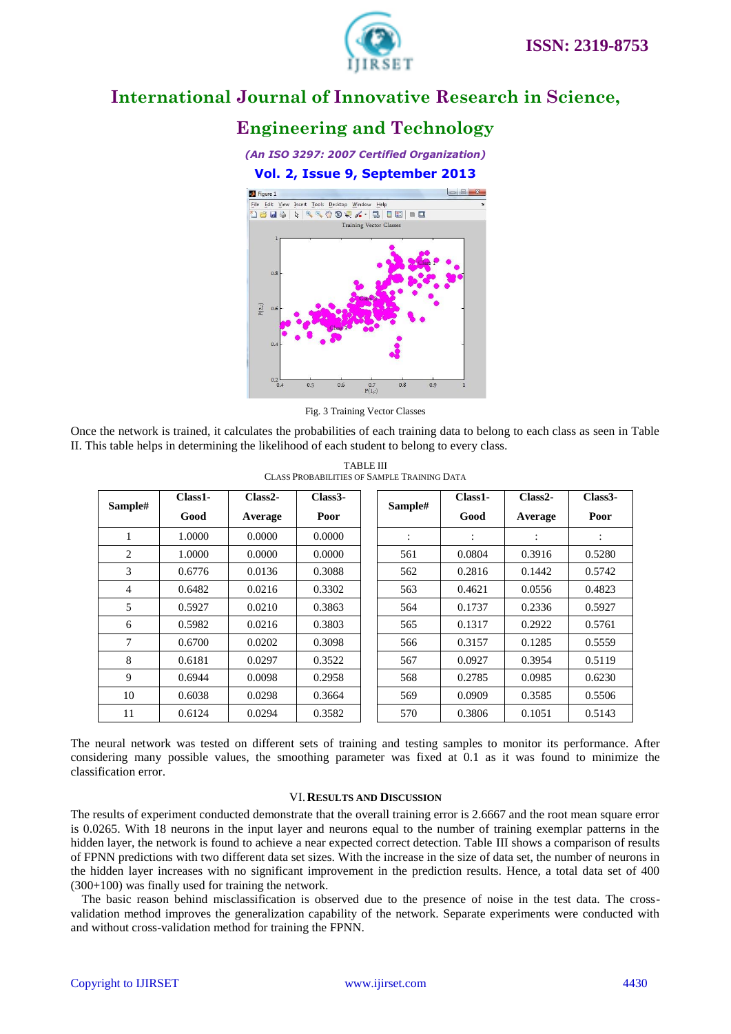

### **Engineering and Technology**

*(An ISO 3297: 2007 Certified Organization)* **Vol. 2, Issue 9, September 2013** Figure 1  $\Box$   $\Omega$ 



Fig. 3 Training Vector Classes

Once the network is trained, it calculates the probabilities of each training data to belong to each class as seen in Table II. This table helps in determining the likelihood of each student to belong to every class.

| Sample# | Class1- | $Class 2-$ | Class <sub>3</sub> | Sample#   | Class1-                   | $Class 2-$ | Class <sub>3</sub> |
|---------|---------|------------|--------------------|-----------|---------------------------|------------|--------------------|
|         | Good    | Average    | Poor               |           | Good                      | Average    | Poor               |
|         | 1.0000  | 0.0000     | 0.0000             | $\bullet$ | ٠<br>$\ddot{\phantom{a}}$ | ٠          | $\ddot{\cdot}$     |
| 2       | 1.0000  | 0.0000     | 0.0000             | 561       | 0.0804                    | 0.3916     | 0.5280             |
| 3       | 0.6776  | 0.0136     | 0.3088             | 562       | 0.2816                    | 0.1442     | 0.5742             |
| 4       | 0.6482  | 0.0216     | 0.3302             | 563       | 0.4621                    | 0.0556     | 0.4823             |
| 5       | 0.5927  | 0.0210     | 0.3863             | 564       | 0.1737                    | 0.2336     | 0.5927             |
| 6       | 0.5982  | 0.0216     | 0.3803             | 565       | 0.1317                    | 0.2922     | 0.5761             |
| 7       | 0.6700  | 0.0202     | 0.3098             | 566       | 0.3157                    | 0.1285     | 0.5559             |
| 8       | 0.6181  | 0.0297     | 0.3522             | 567       | 0.0927                    | 0.3954     | 0.5119             |
| 9       | 0.6944  | 0.0098     | 0.2958             | 568       | 0.2785                    | 0.0985     | 0.6230             |
| 10      | 0.6038  | 0.0298     | 0.3664             | 569       | 0.0909                    | 0.3585     | 0.5506             |
| 11      | 0.6124  | 0.0294     | 0.3582             | 570       | 0.3806                    | 0.1051     | 0.5143             |

TABLE III CLASS PROBABILITIES OF SAMPLE TRAINING DATA

The [neural network](http://scialert.net/asci/result.php?searchin=Keywords&cat=&ascicat=ALL&keyword=Neural+Networks) was tested on different sets of training and testing samples to monitor its performance. After considering many possible values, the smoothing parameter was fixed at 0.1 as it was found to minimize the classification error.

#### VI.**RESULTS AND DISCUSSION**

The results of experiment conducted demonstrate that the overall training error is 2.6667 and the root mean square error is 0.0265. With 18 neurons in the input layer and neurons equal to the number of training exemplar patterns in the hidden layer, the network is found to achieve a near expected correct detection. Table III shows a comparison of results of FPNN predictions with two different data set sizes. With the increase in the size of data set, the number of neurons in the hidden layer increases with no significant improvement in the prediction results. Hence, a total data set of 400 (300+100) was finally used for training the network.

The basic reason behind misclassification is observed due to the presence of noise in the test data. The crossvalidation method improves the generalization capability of the network. Separate experiments were conducted with and without cross-validation method for training the FPNN.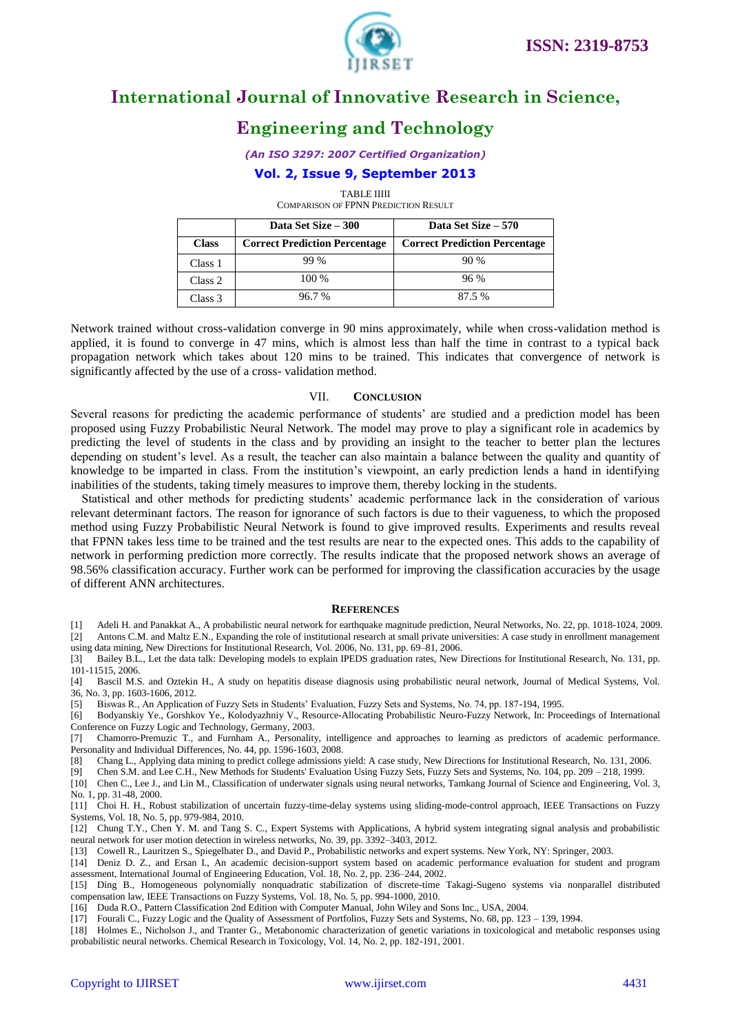

### **Engineering and Technology**

### **Vol. 2, Issue 9, September 2013**

TABLE IIIII

COMPARISON OF FPNN PREDICTION RESULT

|              | Data Set Size – 300                  | Data Set Size – 570                  |  |  |
|--------------|--------------------------------------|--------------------------------------|--|--|
| <b>Class</b> | <b>Correct Prediction Percentage</b> | <b>Correct Prediction Percentage</b> |  |  |
| Class 1      | 99 %                                 | 90%                                  |  |  |
| Class 2      | $100\%$                              | 96%                                  |  |  |
| Class 3      | 96.7%                                | 87.5%                                |  |  |

Network trained without cross-validation converge in 90 mins approximately, while when cross-validation method is applied, it is found to converge in 47 mins, which is almost less than half the time in contrast to a typical back propagation network which takes about 120 mins to be trained. This indicates that convergence of network is significantly affected by the use of a cross- validation method.

#### VII. **CONCLUSION**

Several reasons for predicting the academic performance of students' are studied and a prediction model has been proposed using Fuzzy Probabilistic Neural Network. The model may prove to play a significant role in academics by predicting the level of students in the class and by providing an insight to the teacher to better plan the lectures depending on student's level. As a result, the teacher can also maintain a balance between the quality and quantity of knowledge to be imparted in class. From the institution's viewpoint, an early prediction lends a hand in identifying inabilities of the students, taking timely measures to improve them, thereby locking in the students.

Statistical and other methods for predicting students' academic performance lack in the consideration of various relevant determinant factors. The reason for ignorance of such factors is due to their vagueness, to which the proposed method using Fuzzy Probabilistic Neural Network is found to give improved results. Experiments and results reveal that FPNN takes less time to be trained and the test results are near to the expected ones. This adds to the capability of network in performing prediction more correctly. The results indicate that the proposed network shows an average of 98.56% classification accuracy. Further work can be performed for improving the classification accuracies by the usage of different ANN architectures.

#### **REFERENCES**

[1] Adeli H. and Panakkat A., A probabilistic neural network for earthquake magnitude prediction, Neural Networks, No. 22, pp. 1018-1024, 2009. [2] Antons C.M. and Maltz E.N., Expanding the role of institutional research at small private universities: A case study in enrollment management

using data mining, New Directions for Institutional Research[, Vol. 2006,](http://onlinelibrary.wiley.com/doi/10.1002/ir.v2006:131/issuetoc) No. 131, pp. 69–81, 2006.

[3] Bailey B.L., Let the data talk: Developing models to explain IPEDS graduation rates, New Directions for Institutional Research, No. 131, pp. 101-11515, 2006.

[4] Bascil M.S. and Oztekin H., A study on hepatitis disease diagnosis using probabilistic neural network, Journal of Medical Systems, Vol. 36, No. 3, pp. 1603-1606, 2012.

[5] Biswas R., An Application of Fuzzy Sets in Students' Evaluation, Fuzzy Sets and Systems, No. 74, pp. 187-194, 1995.

[6] Bodyanskiy Ye., Gorshkov Ye., Kolodyazhniy V., Resource-Allocating Probabilistic Neuro-Fuzzy Network, In: Proceedings of International Conference on Fuzzy Logic and Technology, Germany, 2003.

[7] Chamorro-Premuzic T., and Furnham A., Personality, intelligence and approaches to learning as predictors of academic performance. Personality and Individual Differences, No. 44, pp. 1596-1603, 2008.

[8] Chang L., Applying data mining to predict college admissions yield: A case study, New Directions for Institutional Research, No. 131, 2006.<br>[9] Chen S.M. and Lee C.H., New Methods for Students' Evaluation Using Fuzzy S [9] Chen S.M. and Lee C.H., New Methods for Students' Evaluation Using Fuzzy Sets, Fuzzy Sets and Systems, No. 104, pp. 209 – 218, 1999.

[10] Chen C., Lee J., and Lin M., Classification of underwater signals using neural networks, Tamkang Journal of Science and Engineering, Vol. 3, No. 1, pp. 31-48, 2000.

[11] Choi H. H., Robust stabilization of uncertain fuzzy-time-delay systems using sliding-mode-control approach, IEEE Transactions on Fuzzy Systems, Vol. 18, No. 5, pp. 979-984, 2010.

[12] Chung T.Y., Chen Y. M. and Tang S. C., Expert Systems with Applications, A hybrid system integrating signal analysis and probabilistic neural network for user motion detection in wireless networks, No. 39, pp. 3392–3403, 2012.

[13] Cowell R., Lauritzen S., Spiegelhater D., and David P., Probabilistic networks and expert systems. New York, NY: Springer, 2003.

[14] Deniz D. Z., and Ersan I., An academic decision-support system based on academic performance evaluation for student and program assessment, International Journal of Engineering Education, Vol. 18, No. 2, pp. 236–244, 2002.

[15] Ding B., Homogeneous polynomially nonquadratic stabilization of discrete-time Takagi-Sugeno systems via nonparallel distributed compensation law, IEEE Transactions on Fuzzy Systems, Vol. 18, No. 5, pp. 994-1000, 2010.

[16] Duda R.O., Pattern Classification 2nd Edition with Computer Manual, John Wiley and Sons Inc., USA, 2004.

[17] Fourali C., Fuzzy Logic and the Quality of Assessment of Portfolios, Fuzzy Sets and Systems, No. 68, pp. 123 – 139, 1994.

[18] Holmes E., Nicholson J., and Tranter G., Metabonomic characterization of genetic variations in toxicological and metabolic responses using probabilistic neural networks. Chemical Research in Toxicology, Vol. 14, No. 2, pp. 182-191, 2001.

*<sup>(</sup>An ISO 3297: 2007 Certified Organization)*